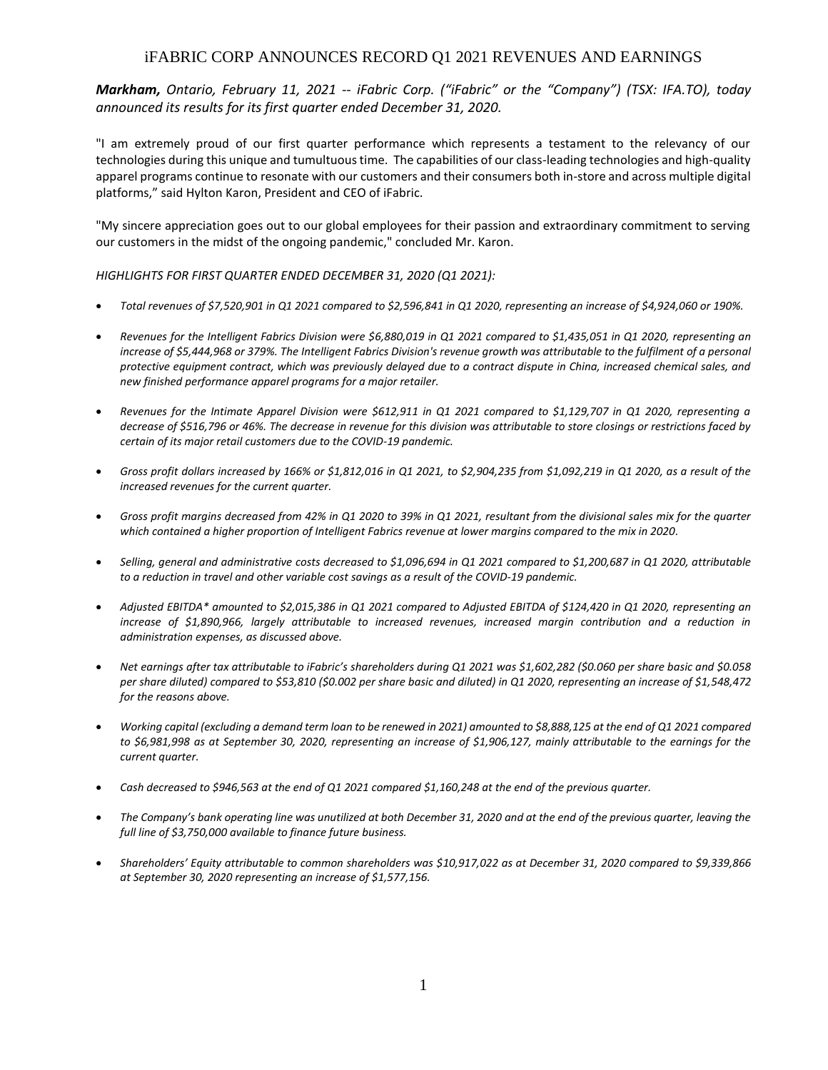# iFABRIC CORP ANNOUNCES RECORD Q1 2021 REVENUES AND EARNINGS

*Markham, Ontario, February 11, 2021 -- iFabric Corp. ("iFabric" or the "Company") (TSX: IFA.TO), today announced its results for its first quarter ended December 31, 2020.*

"I am extremely proud of our first quarter performance which represents a testament to the relevancy of our technologies during this unique and tumultuous time. The capabilities of our class-leading technologies and high-quality apparel programs continue to resonate with our customers and their consumers both in-store and across multiple digital platforms," said Hylton Karon, President and CEO of iFabric.

"My sincere appreciation goes out to our global employees for their passion and extraordinary commitment to serving our customers in the midst of the ongoing pandemic," concluded Mr. Karon.

### *HIGHLIGHTS FOR FIRST QUARTER ENDED DECEMBER 31, 2020 (Q1 2021):*

- *Total revenues of \$7,520,901 in Q1 2021 compared to \$2,596,841 in Q1 2020, representing an increase of \$4,924,060 or 190%.*
- *Revenues for the Intelligent Fabrics Division were \$6,880,019 in Q1 2021 compared to \$1,435,051 in Q1 2020, representing an increase of \$5,444,968 or 379%. The Intelligent Fabrics Division's revenue growth was attributable to the fulfilment of a personal protective equipment contract, which was previously delayed due to a contract dispute in China, increased chemical sales, and new finished performance apparel programs for a major retailer.*
- *Revenues for the Intimate Apparel Division were \$612,911 in Q1 2021 compared to \$1,129,707 in Q1 2020, representing a decrease of \$516,796 or 46%. The decrease in revenue for this division was attributable to store closings or restrictions faced by certain of its major retail customers due to the COVID-19 pandemic.*
- *Gross profit dollars increased by 166% or \$1,812,016 in Q1 2021, to \$2,904,235 from \$1,092,219 in Q1 2020, as a result of the increased revenues for the current quarter.*
- *Gross profit margins decreased from 42% in Q1 2020 to 39% in Q1 2021, resultant from the divisional sales mix for the quarter*  which contained a higher proportion of Intelligent Fabrics revenue at lower margins compared to the mix in 2020.
- *Selling, general and administrative costs decreased to \$1,096,694 in Q1 2021 compared to \$1,200,687 in Q1 2020, attributable to a reduction in travel and other variable cost savings as a result of the COVID-19 pandemic.*
- *Adjusted EBITDA\* amounted to \$2,015,386 in Q1 2021 compared to Adjusted EBITDA of \$124,420 in Q1 2020, representing an increase of \$1,890,966, largely attributable to increased revenues, increased margin contribution and a reduction in administration expenses, as discussed above.*
- *Net earnings after tax attributable to iFabric's shareholders during Q1 2021 was \$1,602,282 (\$0.060 per share basic and \$0.058 per share diluted) compared to \$53,810 (\$0.002 per share basic and diluted) in Q1 2020, representing an increase of \$1,548,472 for the reasons above.*
- *Working capital (excluding a demand term loan to be renewed in 2021) amounted to \$8,888,125 at the end of Q1 2021 compared to \$6,981,998 as at September 30, 2020, representing an increase of \$1,906,127, mainly attributable to the earnings for the current quarter.*
- *Cash decreased to \$946,563 at the end of Q1 2021 compared \$1,160,248 at the end of the previous quarter.*
- The Company's bank operating line was unutilized at both December 31, 2020 and at the end of the previous quarter, leaving the *full line of \$3,750,000 available to finance future business.*
- *Shareholders' Equity attributable to common shareholders was \$10,917,022 as at December 31, 2020 compared to \$9,339,866 at September 30, 2020 representing an increase of \$1,577,156.*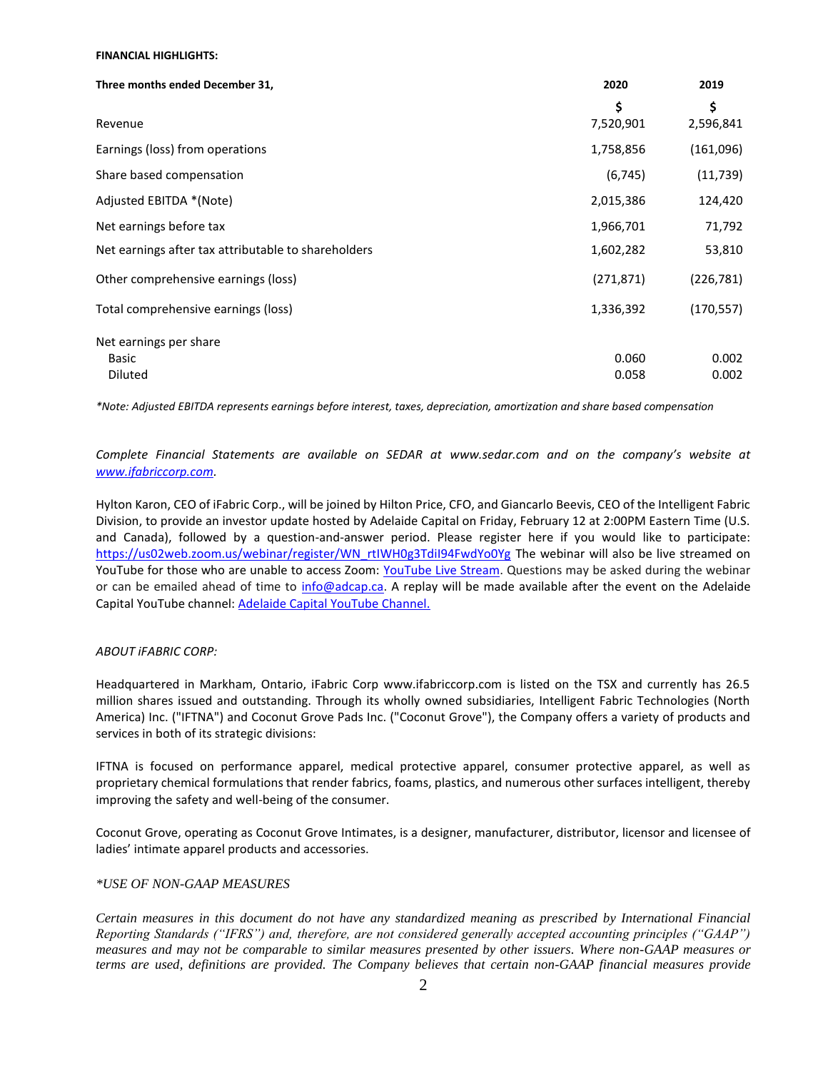#### **FINANCIAL HIGHLIGHTS:**

| Three months ended December 31,                     | 2020       | 2019       |
|-----------------------------------------------------|------------|------------|
|                                                     | \$         | \$         |
| Revenue                                             | 7,520,901  | 2,596,841  |
| Earnings (loss) from operations                     | 1,758,856  | (161,096)  |
| Share based compensation                            | (6, 745)   | (11, 739)  |
| Adjusted EBITDA *(Note)                             | 2,015,386  | 124,420    |
| Net earnings before tax                             | 1,966,701  | 71,792     |
| Net earnings after tax attributable to shareholders | 1,602,282  | 53,810     |
| Other comprehensive earnings (loss)                 | (271, 871) | (226, 781) |
| Total comprehensive earnings (loss)                 | 1,336,392  | (170, 557) |
| Net earnings per share                              |            |            |
| Basic                                               | 0.060      | 0.002      |
| Diluted                                             | 0.058      | 0.002      |

*\*Note: Adjusted EBITDA represents earnings before interest, taxes, depreciation, amortization and share based compensation*

*Complete Financial Statements are available on SEDAR at [www.sedar.com](http://www.sedar.com/) and on the company's website at [www.ifabriccorp.com.](http://www.ifabriccorp.com/)*

Hylton Karon, CEO of iFabric Corp., will be joined by Hilton Price, CFO, and Giancarlo Beevis, CEO of the Intelligent Fabric Division, to provide an investor update hosted by Adelaide Capital on Friday, February 12 at 2:00PM Eastern Time (U.S. and Canada), followed by a question-and-answer period. Please register here if you would like to participate: [https://us02web.zoom.us/webinar/register/WN\\_rtIWH0g3TdiI94FwdYo0Yg](https://us02web.zoom.us/webinar/register/WN_rtIWH0g3TdiI94FwdYo0Yg) The webinar will also be live streamed on YouTube for those who are unable to access Zoom: [YouTube Live Stream.](https://www.globenewswire.com/Tracker?data=ioWYcBxRIJSECFNlcsfJBJVGkWR_Im7dCJwn4Rfyffu_tq6VBvtDvP3c20C4Fibo5Z8Qh28Jvu9EFM_sO_y8NERM0krdHrcQP6IMqBIhC-P8HjKIl2SBUipHvZDvSx0adqMrzJ5YNcpIGV5JhDXaJg==) Questions may be asked during the webinar or can be emailed ahead of time to [info@adcap.ca.](mailto:info@adcap.ca) A replay will be made available after the event on the Adelaide Capital YouTube channel: [Adelaide Capital YouTube Channel.](https://www.youtube.com/channel/UC7Jpt_DWjF1qSCzfKlpLMWw)

#### *ABOUT iFABRIC CORP:*

Headquartered in Markham, Ontario, iFabric Corp www.ifabriccorp.com is listed on the TSX and currently has 26.5 million shares issued and outstanding. Through its wholly owned subsidiaries, Intelligent Fabric Technologies (North America) Inc. ("IFTNA") and Coconut Grove Pads Inc. ("Coconut Grove"), the Company offers a variety of products and services in both of its strategic divisions:

IFTNA is focused on performance apparel, medical protective apparel, consumer protective apparel, as well as proprietary chemical formulations that render fabrics, foams, plastics, and numerous other surfaces intelligent, thereby improving the safety and well-being of the consumer.

Coconut Grove, operating as Coconut Grove Intimates, is a designer, manufacturer, distributor, licensor and licensee of ladies' intimate apparel products and accessories.

## *\*USE OF NON-GAAP MEASURES*

*Certain measures in this document do not have any standardized meaning as prescribed by International Financial Reporting Standards ("IFRS") and, therefore, are not considered generally accepted accounting principles ("GAAP") measures and may not be comparable to similar measures presented by other issuers. Where non-GAAP measures or terms are used, definitions are provided. The Company believes that certain non-GAAP financial measures provide*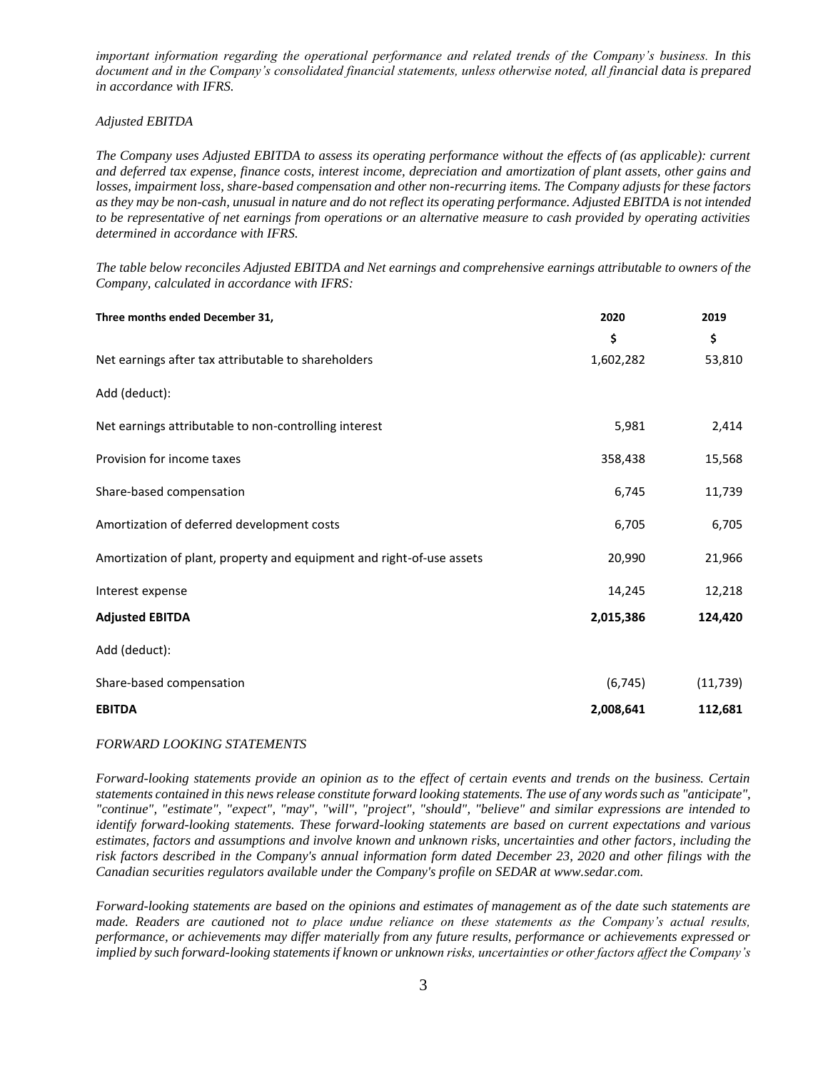*important information regarding the operational performance and related trends of the Company's business. In this document and in the Company's consolidated financial statements, unless otherwise noted, all financial data is prepared in accordance with IFRS.*

### *Adjusted EBITDA*

*The Company uses Adjusted EBITDA to assess its operating performance without the effects of (as applicable): current and deferred tax expense, finance costs, interest income, depreciation and amortization of plant assets, other gains and losses, impairment loss, share-based compensation and other non-recurring items. The Company adjusts for these factors as they may be non-cash, unusual in nature and do not reflect its operating performance. Adjusted EBITDA is not intended to be representative of net earnings from operations or an alternative measure to cash provided by operating activities determined in accordance with IFRS.*

*The table below reconciles Adjusted EBITDA and Net earnings and comprehensive earnings attributable to owners of the Company, calculated in accordance with IFRS:*

| Three months ended December 31,                                       | 2020      | 2019      |
|-----------------------------------------------------------------------|-----------|-----------|
|                                                                       | \$        | \$        |
| Net earnings after tax attributable to shareholders                   | 1,602,282 | 53,810    |
| Add (deduct):                                                         |           |           |
| Net earnings attributable to non-controlling interest                 | 5,981     | 2,414     |
| Provision for income taxes                                            | 358,438   | 15,568    |
| Share-based compensation                                              | 6,745     | 11,739    |
| Amortization of deferred development costs                            | 6,705     | 6,705     |
| Amortization of plant, property and equipment and right-of-use assets | 20,990    | 21,966    |
| Interest expense                                                      | 14,245    | 12,218    |
| <b>Adjusted EBITDA</b>                                                | 2,015,386 | 124,420   |
| Add (deduct):                                                         |           |           |
| Share-based compensation                                              | (6, 745)  | (11, 739) |
| <b>EBITDA</b>                                                         | 2,008,641 | 112,681   |

## *FORWARD LOOKING STATEMENTS*

*Forward-looking statements provide an opinion as to the effect of certain events and trends on the business. Certain statements contained in this news release constitute forward looking statements. The use of any words such as "anticipate", "continue", "estimate", "expect", "may", "will", "project", "should", "believe" and similar expressions are intended to identify forward-looking statements. These forward-looking statements are based on current expectations and various estimates, factors and assumptions and involve known and unknown risks, uncertainties and other factors, including the risk factors described in the Company's annual information form dated December 23, 2020 and other filings with the Canadian securities regulators available under the Company's profile on SEDAR at www.sedar.com.*

*Forward-looking statements are based on the opinions and estimates of management as of the date such statements are made. Readers are cautioned not to place undue reliance on these statements as the Company's actual results, performance, or achievements may differ materially from any future results, performance or achievements expressed or implied by such forward-looking statements if known or unknown risks, uncertainties or other factors affect the Company's*